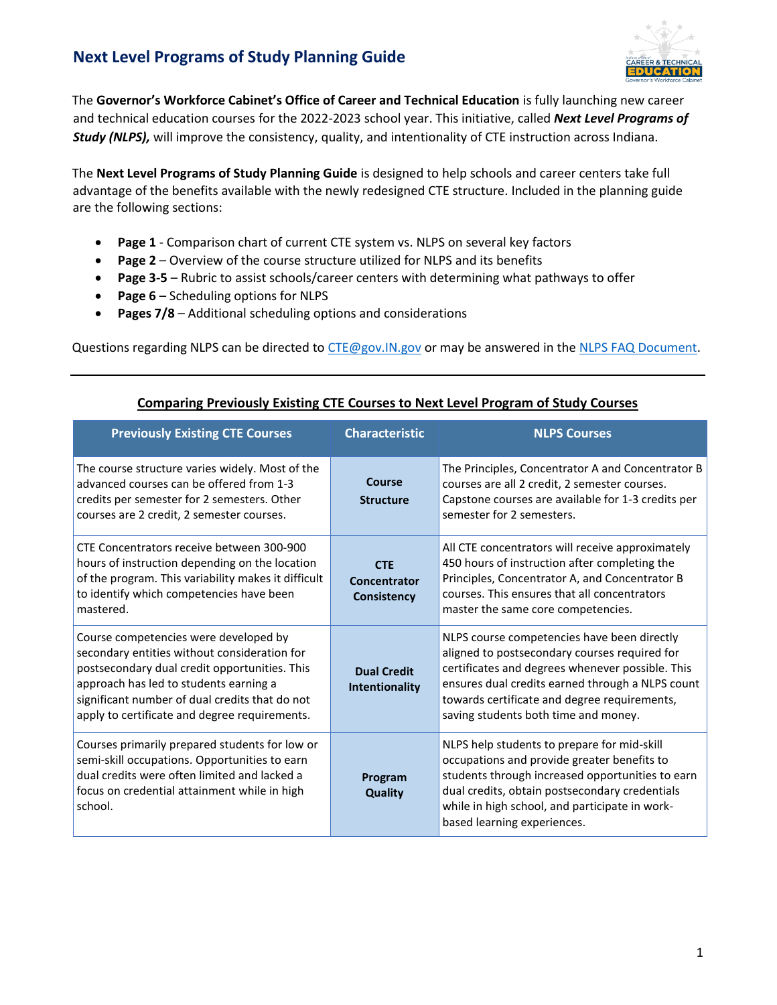

The **Governor's Workforce Cabinet's Office of Career and Technical Education** is fully launching new career and technical education courses for the 2022-2023 school year. This initiative, called *Next Level Programs of Study (NLPS),* will improve the consistency, quality, and intentionality of CTE instruction across Indiana.

The **Next Level Programs of Study Planning Guide** is designed to help schools and career centers take full advantage of the benefits available with the newly redesigned CTE structure. Included in the planning guide are the following sections:

- **Page 1** Comparison chart of current CTE system vs. NLPS on several key factors
- **Page 2** Overview of the course structure utilized for NLPS and its benefits
- **Page 3-5** Rubric to assist schools/career centers with determining what pathways to offer
- **Page 6** Scheduling options for NLPS
- **Pages 7/8** Additional scheduling options and considerations

Questions regarding NLPS can be directed to [CTE@gov.IN.gov](mailto:CTE@gov.IN.gov) or may be answered in th[e NLPS FAQ Document.](https://www.in.gov/gwc/cte/files/NLPS-FAQ_8.1.21.pdf)

| <b>Previously Existing CTE Courses</b>                                                                                                                                                                                                                                              | <b>Characteristic</b>                     | <b>NLPS Courses</b>                                                                                                                                                                                                                                                                          |
|-------------------------------------------------------------------------------------------------------------------------------------------------------------------------------------------------------------------------------------------------------------------------------------|-------------------------------------------|----------------------------------------------------------------------------------------------------------------------------------------------------------------------------------------------------------------------------------------------------------------------------------------------|
| The course structure varies widely. Most of the<br>advanced courses can be offered from 1-3<br>credits per semester for 2 semesters. Other<br>courses are 2 credit, 2 semester courses.                                                                                             | Course<br><b>Structure</b>                | The Principles, Concentrator A and Concentrator B<br>courses are all 2 credit, 2 semester courses.<br>Capstone courses are available for 1-3 credits per<br>semester for 2 semesters.                                                                                                        |
| CTE Concentrators receive between 300-900<br>hours of instruction depending on the location<br>of the program. This variability makes it difficult<br>to identify which competencies have been<br>mastered.                                                                         | <b>CTE</b><br>Concentrator<br>Consistency | All CTE concentrators will receive approximately<br>450 hours of instruction after completing the<br>Principles, Concentrator A, and Concentrator B<br>courses. This ensures that all concentrators<br>master the same core competencies.                                                    |
| Course competencies were developed by<br>secondary entities without consideration for<br>postsecondary dual credit opportunities. This<br>approach has led to students earning a<br>significant number of dual credits that do not<br>apply to certificate and degree requirements. | <b>Dual Credit</b><br>Intentionality      | NLPS course competencies have been directly<br>aligned to postsecondary courses required for<br>certificates and degrees whenever possible. This<br>ensures dual credits earned through a NLPS count<br>towards certificate and degree requirements,<br>saving students both time and money. |
| Courses primarily prepared students for low or<br>semi-skill occupations. Opportunities to earn<br>dual credits were often limited and lacked a<br>focus on credential attainment while in high<br>school.                                                                          | Program<br><b>Quality</b>                 | NLPS help students to prepare for mid-skill<br>occupations and provide greater benefits to<br>students through increased opportunities to earn<br>dual credits, obtain postsecondary credentials<br>while in high school, and participate in work-<br>based learning experiences.            |

#### **Comparing Previously Existing CTE Courses to Next Level Program of Study Courses**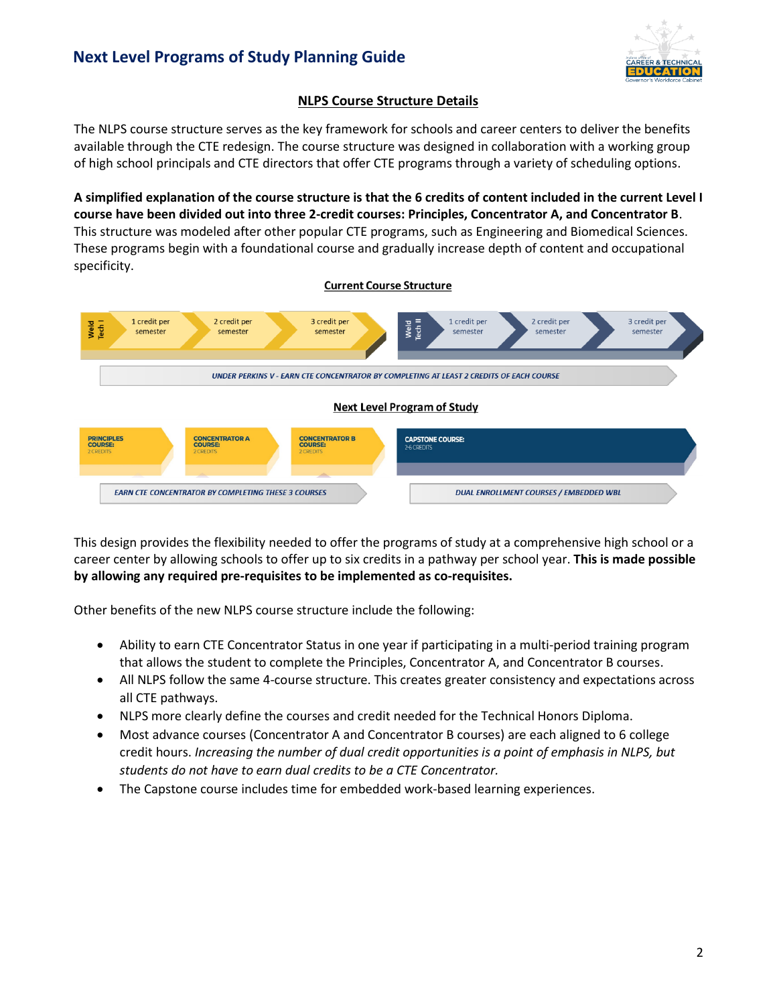

## **NLPS Course Structure Details**

The NLPS course structure serves as the key framework for schools and career centers to deliver the benefits available through the CTE redesign. The course structure was designed in collaboration with a working group of high school principals and CTE directors that offer CTE programs through a variety of scheduling options.

**A simplified explanation of the course structure is that the 6 credits of content included in the current Level I course have been divided out into three 2-credit courses: Principles, Concentrator A, and Concentrator B**. This structure was modeled after other popular CTE programs, such as Engineering and Biomedical Sciences. These programs begin with a foundational course and gradually increase depth of content and occupational specificity.



This design provides the flexibility needed to offer the programs of study at a comprehensive high school or a career center by allowing schools to offer up to six credits in a pathway per school year. **This is made possible by allowing any required pre-requisites to be implemented as co-requisites.** 

Other benefits of the new NLPS course structure include the following:

- Ability to earn CTE Concentrator Status in one year if participating in a multi-period training program that allows the student to complete the Principles, Concentrator A, and Concentrator B courses.
- All NLPS follow the same 4-course structure. This creates greater consistency and expectations across all CTE pathways.
- NLPS more clearly define the courses and credit needed for the Technical Honors Diploma.
- Most advance courses (Concentrator A and Concentrator B courses) are each aligned to 6 college credit hours. *Increasing the number of dual credit opportunities is a point of emphasis in NLPS, but students do not have to earn dual credits to be a CTE Concentrator.*
- The Capstone course includes time for embedded work-based learning experiences.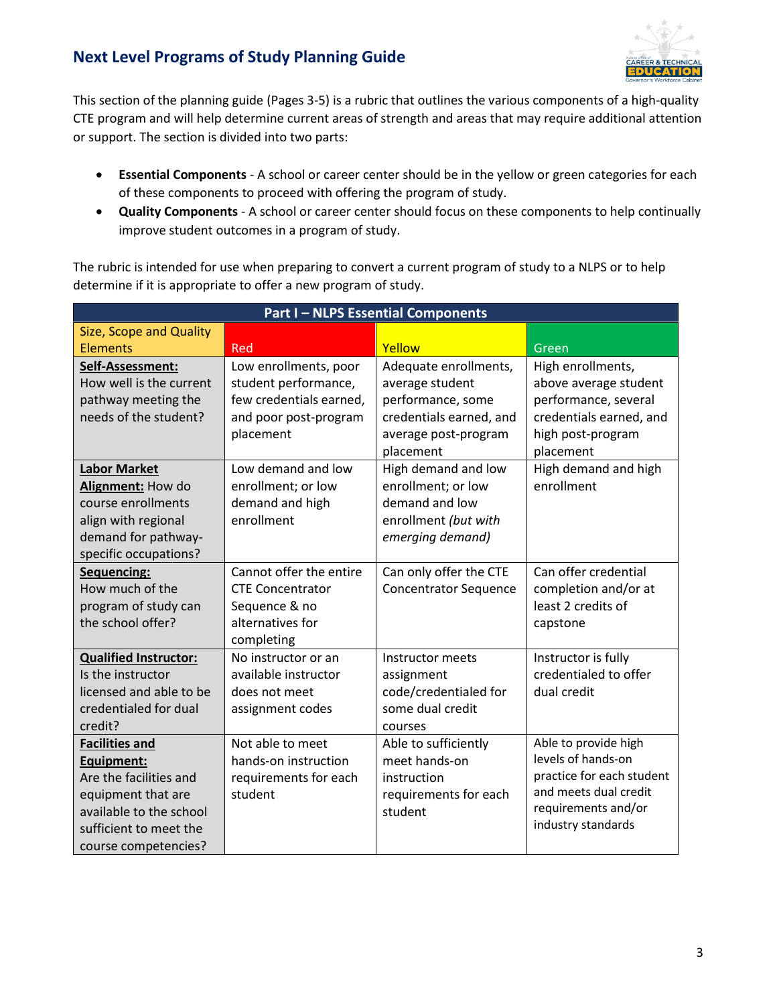

This section of the planning guide (Pages 3-5) is a rubric that outlines the various components of a high-quality CTE program and will help determine current areas of strength and areas that may require additional attention or support. The section is divided into two parts:

- **Essential Components** A school or career center should be in the yellow or green categories for each of these components to proceed with offering the program of study.
- **Quality Components** A school or career center should focus on these components to help continually improve student outcomes in a program of study.

The rubric is intended for use when preparing to convert a current program of study to a NLPS or to help determine if it is appropriate to offer a new program of study.

| <b>Part I-NLPS Essential Components</b> |                         |                              |                                                 |  |  |
|-----------------------------------------|-------------------------|------------------------------|-------------------------------------------------|--|--|
| <b>Size, Scope and Quality</b>          |                         |                              |                                                 |  |  |
| <b>Elements</b>                         | Red                     | Yellow                       | Green                                           |  |  |
| Self-Assessment:                        | Low enrollments, poor   | Adequate enrollments,        | High enrollments,                               |  |  |
| How well is the current                 | student performance,    | average student              | above average student                           |  |  |
| pathway meeting the                     | few credentials earned, | performance, some            | performance, several                            |  |  |
| needs of the student?                   | and poor post-program   | credentials earned, and      | credentials earned, and                         |  |  |
|                                         | placement               | average post-program         | high post-program                               |  |  |
|                                         |                         | placement                    | placement                                       |  |  |
| <b>Labor Market</b>                     | Low demand and low      | High demand and low          | High demand and high                            |  |  |
| Alignment: How do                       | enrollment; or low      | enrollment; or low           | enrollment                                      |  |  |
| course enrollments                      | demand and high         | demand and low               |                                                 |  |  |
| align with regional                     | enrollment              | enrollment (but with         |                                                 |  |  |
| demand for pathway-                     |                         | emerging demand)             |                                                 |  |  |
| specific occupations?                   |                         |                              |                                                 |  |  |
| Sequencing:                             | Cannot offer the entire | Can only offer the CTE       | Can offer credential                            |  |  |
| How much of the                         | <b>CTE Concentrator</b> | <b>Concentrator Sequence</b> | completion and/or at                            |  |  |
| program of study can                    | Sequence & no           |                              | least 2 credits of                              |  |  |
| the school offer?                       | alternatives for        |                              | capstone                                        |  |  |
|                                         | completing              |                              |                                                 |  |  |
| <b>Qualified Instructor:</b>            | No instructor or an     | Instructor meets             | Instructor is fully                             |  |  |
| Is the instructor                       | available instructor    | assignment                   | credentialed to offer                           |  |  |
| licensed and able to be                 | does not meet           | code/credentialed for        | dual credit                                     |  |  |
| credentialed for dual                   | assignment codes        | some dual credit             |                                                 |  |  |
| credit?                                 |                         | courses                      |                                                 |  |  |
| <b>Facilities and</b>                   | Not able to meet        | Able to sufficiently         | Able to provide high                            |  |  |
| Equipment:                              | hands-on instruction    | meet hands-on                | levels of hands-on<br>practice for each student |  |  |
| Are the facilities and                  | requirements for each   | instruction                  | and meets dual credit                           |  |  |
| equipment that are                      | student                 | requirements for each        | requirements and/or                             |  |  |
| available to the school                 |                         | student                      | industry standards                              |  |  |
| sufficient to meet the                  |                         |                              |                                                 |  |  |
| course competencies?                    |                         |                              |                                                 |  |  |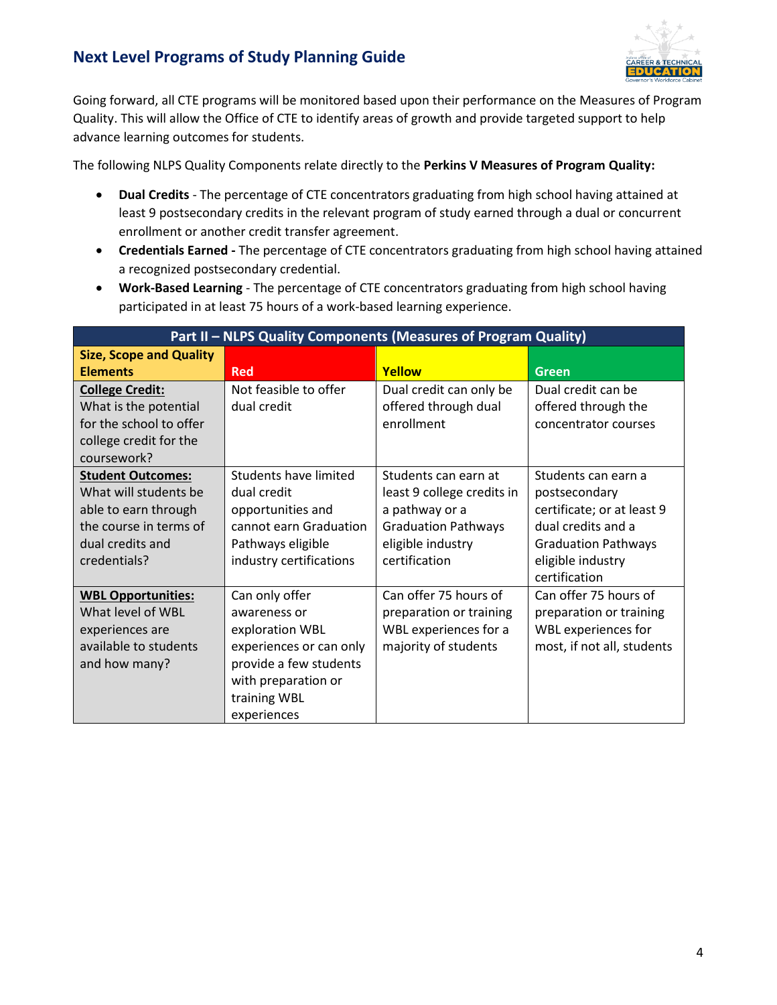

Going forward, all CTE programs will be monitored based upon their performance on the Measures of Program Quality. This will allow the Office of CTE to identify areas of growth and provide targeted support to help advance learning outcomes for students.

The following NLPS Quality Components relate directly to the **Perkins V Measures of Program Quality:**

- **Dual Credits** The percentage of CTE concentrators graduating from high school having attained at least 9 postsecondary credits in the relevant program of study earned through a dual or concurrent enrollment or another credit transfer agreement.
- **Credentials Earned -** The percentage of CTE concentrators graduating from high school having attained a recognized postsecondary credential.
- **Work-Based Learning** The percentage of CTE concentrators graduating from high school having participated in at least 75 hours of a work-based learning experience.

| Part II - NLPS Quality Components (Measures of Program Quality) |                         |                            |                            |  |  |
|-----------------------------------------------------------------|-------------------------|----------------------------|----------------------------|--|--|
| <b>Size, Scope and Quality</b>                                  |                         |                            |                            |  |  |
| <b>Elements</b>                                                 | Red                     | Yellow                     | <b>Green</b>               |  |  |
| <b>College Credit:</b>                                          | Not feasible to offer   | Dual credit can only be    | Dual credit can be         |  |  |
| What is the potential                                           | dual credit             | offered through dual       | offered through the        |  |  |
| for the school to offer                                         |                         | enrollment                 | concentrator courses       |  |  |
| college credit for the                                          |                         |                            |                            |  |  |
| coursework?                                                     |                         |                            |                            |  |  |
| <b>Student Outcomes:</b>                                        | Students have limited   | Students can earn at       | Students can earn a        |  |  |
| What will students be                                           | dual credit             | least 9 college credits in | postsecondary              |  |  |
| able to earn through                                            | opportunities and       | a pathway or a             | certificate; or at least 9 |  |  |
| the course in terms of                                          | cannot earn Graduation  | <b>Graduation Pathways</b> | dual credits and a         |  |  |
| dual credits and                                                | Pathways eligible       | eligible industry          | <b>Graduation Pathways</b> |  |  |
| credentials?                                                    | industry certifications | certification              | eligible industry          |  |  |
|                                                                 |                         |                            | certification              |  |  |
| <b>WBL Opportunities:</b>                                       | Can only offer          | Can offer 75 hours of      | Can offer 75 hours of      |  |  |
| What level of WBL                                               | awareness or            | preparation or training    | preparation or training    |  |  |
| experiences are                                                 | exploration WBL         | WBL experiences for a      | WBL experiences for        |  |  |
| available to students                                           | experiences or can only | majority of students       | most, if not all, students |  |  |
| and how many?                                                   | provide a few students  |                            |                            |  |  |
|                                                                 | with preparation or     |                            |                            |  |  |
|                                                                 | training WBL            |                            |                            |  |  |
|                                                                 | experiences             |                            |                            |  |  |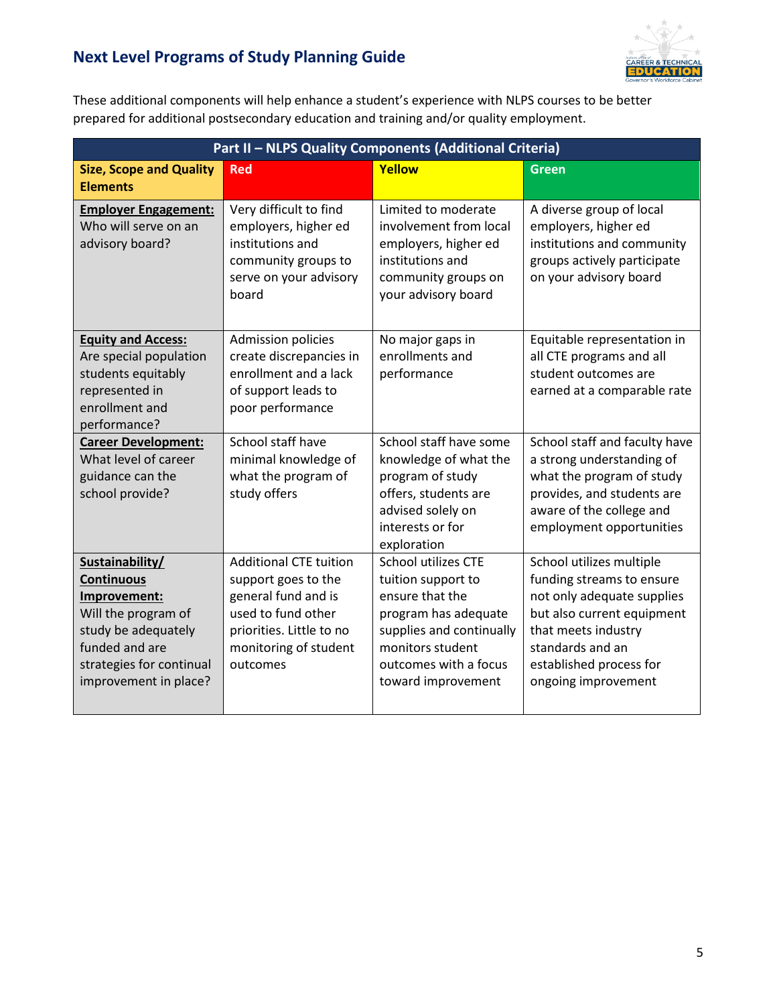

These additional components will help enhance a student's experience with NLPS courses to be better prepared for additional postsecondary education and training and/or quality employment.

| Part II - NLPS Quality Components (Additional Criteria)                                                                                                                   |                                                                                                                                                                    |                                                                                                                                                                                     |                                                                                                                                                                                                                |  |  |
|---------------------------------------------------------------------------------------------------------------------------------------------------------------------------|--------------------------------------------------------------------------------------------------------------------------------------------------------------------|-------------------------------------------------------------------------------------------------------------------------------------------------------------------------------------|----------------------------------------------------------------------------------------------------------------------------------------------------------------------------------------------------------------|--|--|
| <b>Size, Scope and Quality</b><br><b>Elements</b>                                                                                                                         | <b>Red</b>                                                                                                                                                         | Yellow                                                                                                                                                                              | <b>Green</b>                                                                                                                                                                                                   |  |  |
| <b>Employer Engagement:</b><br>Who will serve on an<br>advisory board?                                                                                                    | Very difficult to find<br>employers, higher ed<br>institutions and<br>community groups to<br>serve on your advisory<br>board                                       | Limited to moderate<br>involvement from local<br>employers, higher ed<br>institutions and<br>community groups on<br>your advisory board                                             | A diverse group of local<br>employers, higher ed<br>institutions and community<br>groups actively participate<br>on your advisory board                                                                        |  |  |
| <b>Equity and Access:</b><br>Are special population<br>students equitably<br>represented in<br>enrollment and<br>performance?                                             | <b>Admission policies</b><br>create discrepancies in<br>enrollment and a lack<br>of support leads to<br>poor performance                                           | No major gaps in<br>enrollments and<br>performance                                                                                                                                  | Equitable representation in<br>all CTE programs and all<br>student outcomes are<br>earned at a comparable rate                                                                                                 |  |  |
| <b>Career Development:</b><br>What level of career<br>guidance can the<br>school provide?                                                                                 | School staff have<br>minimal knowledge of<br>what the program of<br>study offers                                                                                   | School staff have some<br>knowledge of what the<br>program of study<br>offers, students are<br>advised solely on<br>interests or for<br>exploration                                 | School staff and faculty have<br>a strong understanding of<br>what the program of study<br>provides, and students are<br>aware of the college and<br>employment opportunities                                  |  |  |
| Sustainability/<br><b>Continuous</b><br>Improvement:<br>Will the program of<br>study be adequately<br>funded and are<br>strategies for continual<br>improvement in place? | <b>Additional CTE tuition</b><br>support goes to the<br>general fund and is<br>used to fund other<br>priorities. Little to no<br>monitoring of student<br>outcomes | School utilizes CTE<br>tuition support to<br>ensure that the<br>program has adequate<br>supplies and continually<br>monitors student<br>outcomes with a focus<br>toward improvement | School utilizes multiple<br>funding streams to ensure<br>not only adequate supplies<br>but also current equipment<br>that meets industry<br>standards and an<br>established process for<br>ongoing improvement |  |  |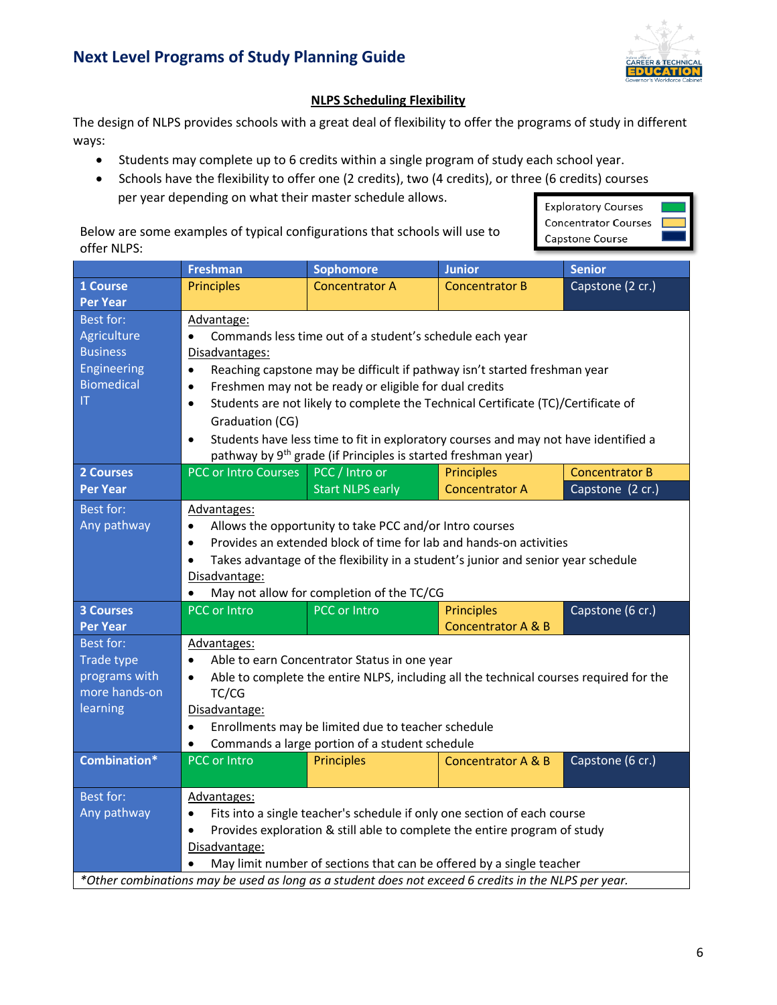

## **NLPS Scheduling Flexibility**

The design of NLPS provides schools with a great deal of flexibility to offer the programs of study in different ways:

- Students may complete up to 6 credits within a single program of study each school year.
- Schools have the flexibility to offer one (2 credits), two (4 credits), or three (6 credits) courses per year depending on what their master schedule allows.

Below are some examples of typical configurations that schools will use to offer NLPS:



|                                                                                                      | <b>Freshman</b>                                                      | <b>Sophomore</b>                                                                       | <b>Junior</b>                 | <b>Senior</b>         |
|------------------------------------------------------------------------------------------------------|----------------------------------------------------------------------|----------------------------------------------------------------------------------------|-------------------------------|-----------------------|
| 1 Course                                                                                             | <b>Principles</b>                                                    | <b>Concentrator A</b>                                                                  | <b>Concentrator B</b>         | Capstone (2 cr.)      |
| <b>Per Year</b>                                                                                      |                                                                      |                                                                                        |                               |                       |
| <b>Best for:</b>                                                                                     | Advantage:                                                           |                                                                                        |                               |                       |
| Agriculture                                                                                          | $\bullet$                                                            | Commands less time out of a student's schedule each year                               |                               |                       |
| <b>Business</b>                                                                                      | Disadvantages:                                                       |                                                                                        |                               |                       |
| Engineering                                                                                          | $\bullet$                                                            | Reaching capstone may be difficult if pathway isn't started freshman year              |                               |                       |
| <b>Biomedical</b>                                                                                    | $\bullet$                                                            | Freshmen may not be ready or eligible for dual credits                                 |                               |                       |
| ΙT                                                                                                   | $\bullet$                                                            | Students are not likely to complete the Technical Certificate (TC)/Certificate of      |                               |                       |
|                                                                                                      | Graduation (CG)                                                      |                                                                                        |                               |                       |
|                                                                                                      | $\bullet$                                                            | Students have less time to fit in exploratory courses and may not have identified a    |                               |                       |
|                                                                                                      |                                                                      | pathway by 9 <sup>th</sup> grade (if Principles is started freshman year)              |                               |                       |
| <b>2 Courses</b>                                                                                     | <b>PCC or Intro Courses</b>                                          | PCC / Intro or                                                                         | <b>Principles</b>             | <b>Concentrator B</b> |
| <b>Per Year</b>                                                                                      |                                                                      | <b>Start NLPS early</b>                                                                | <b>Concentrator A</b>         | Capstone (2 cr.)      |
| Best for:                                                                                            | Advantages:                                                          |                                                                                        |                               |                       |
| Any pathway                                                                                          | $\bullet$                                                            | Allows the opportunity to take PCC and/or Intro courses                                |                               |                       |
|                                                                                                      | $\bullet$                                                            | Provides an extended block of time for lab and hands-on activities                     |                               |                       |
|                                                                                                      | $\bullet$                                                            | Takes advantage of the flexibility in a student's junior and senior year schedule      |                               |                       |
|                                                                                                      | Disadvantage:                                                        |                                                                                        |                               |                       |
|                                                                                                      |                                                                      | May not allow for completion of the TC/CG                                              |                               |                       |
| <b>3 Courses</b>                                                                                     | PCC or Intro                                                         | <b>PCC or Intro</b>                                                                    | <b>Principles</b>             | Capstone (6 cr.)      |
| <b>Per Year</b>                                                                                      |                                                                      |                                                                                        | <b>Concentrator A &amp; B</b> |                       |
| <b>Best for:</b>                                                                                     | Advantages:                                                          |                                                                                        |                               |                       |
| Trade type                                                                                           | $\bullet$                                                            | Able to earn Concentrator Status in one year                                           |                               |                       |
| programs with                                                                                        | $\bullet$                                                            | Able to complete the entire NLPS, including all the technical courses required for the |                               |                       |
| more hands-on                                                                                        | TC/CG                                                                |                                                                                        |                               |                       |
| learning                                                                                             | Disadvantage:                                                        |                                                                                        |                               |                       |
|                                                                                                      | Enrollments may be limited due to teacher schedule<br>$\bullet$      |                                                                                        |                               |                       |
|                                                                                                      | Commands a large portion of a student schedule<br>$\bullet$          |                                                                                        |                               |                       |
| <b>Combination*</b>                                                                                  | PCC or Intro                                                         | <b>Principles</b>                                                                      | Concentrator A & B            | Capstone (6 cr.)      |
|                                                                                                      |                                                                      |                                                                                        |                               |                       |
| <b>Best for:</b>                                                                                     | Advantages:                                                          |                                                                                        |                               |                       |
| Any pathway                                                                                          | $\bullet$                                                            | Fits into a single teacher's schedule if only one section of each course               |                               |                       |
|                                                                                                      | $\bullet$                                                            | Provides exploration & still able to complete the entire program of study              |                               |                       |
|                                                                                                      | Disadvantage:                                                        |                                                                                        |                               |                       |
|                                                                                                      | May limit number of sections that can be offered by a single teacher |                                                                                        |                               |                       |
| *Other combinations may be used as long as a student does not exceed 6 credits in the NLPS per year. |                                                                      |                                                                                        |                               |                       |

*\*Other combinations may be used as long as a student does not exceed 6 credits in the NLPS per year.*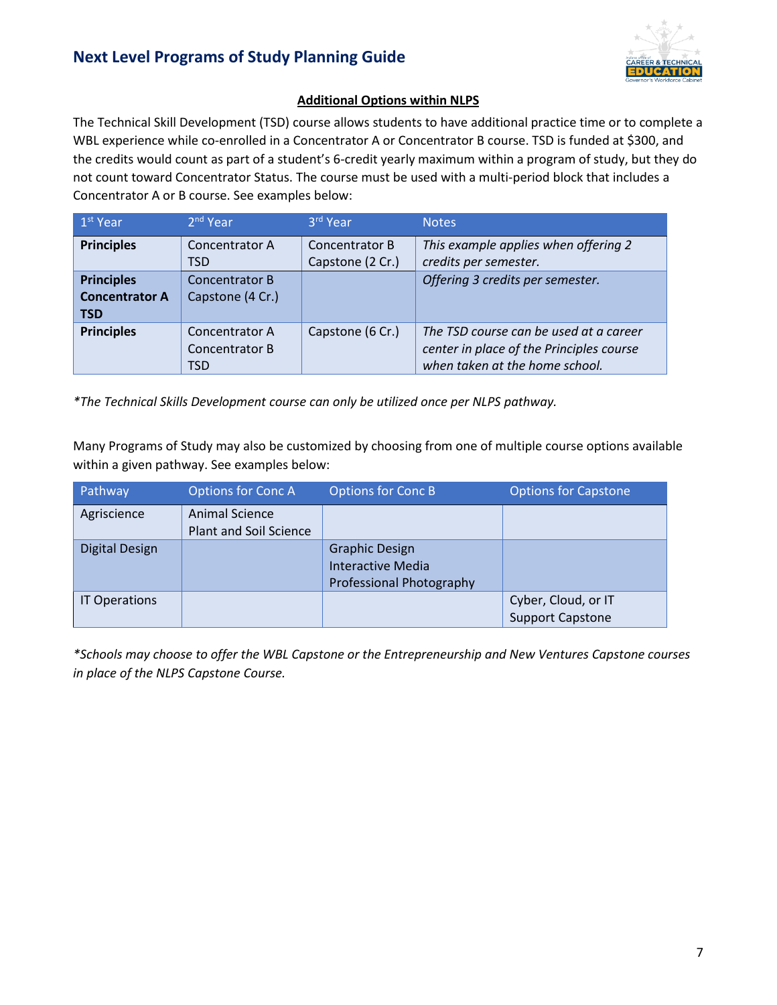

#### **Additional Options within NLPS**

The Technical Skill Development (TSD) course allows students to have additional practice time or to complete a WBL experience while co-enrolled in a Concentrator A or Concentrator B course. TSD is funded at \$300, and the credits would count as part of a student's 6-credit yearly maximum within a program of study, but they do not count toward Concentrator Status. The course must be used with a multi-period block that includes a Concentrator A or B course. See examples below:

| 1 <sup>st</sup> Year  | $2nd$ Year       | 3rd Year         | <b>Notes</b>                             |
|-----------------------|------------------|------------------|------------------------------------------|
| <b>Principles</b>     | Concentrator A   | Concentrator B   | This example applies when offering 2     |
|                       | TSD              | Capstone (2 Cr.) | credits per semester.                    |
| <b>Principles</b>     | Concentrator B   |                  | Offering 3 credits per semester.         |
| <b>Concentrator A</b> | Capstone (4 Cr.) |                  |                                          |
| <b>TSD</b>            |                  |                  |                                          |
| <b>Principles</b>     | Concentrator A   | Capstone (6 Cr.) | The TSD course can be used at a career   |
|                       | Concentrator B   |                  | center in place of the Principles course |
|                       | TSD              |                  | when taken at the home school.           |

*\*The Technical Skills Development course can only be utilized once per NLPS pathway.* 

Many Programs of Study may also be customized by choosing from one of multiple course options available within a given pathway. See examples below:

| Pathway              | <b>Options for Conc A</b>                       | <b>Options for Conc B</b>                                                     | <b>Options for Capstone</b>                    |
|----------------------|-------------------------------------------------|-------------------------------------------------------------------------------|------------------------------------------------|
| Agriscience          | Animal Science<br><b>Plant and Soil Science</b> |                                                                               |                                                |
| Digital Design       |                                                 | <b>Graphic Design</b><br><b>Interactive Media</b><br>Professional Photography |                                                |
| <b>IT Operations</b> |                                                 |                                                                               | Cyber, Cloud, or IT<br><b>Support Capstone</b> |

*\*Schools may choose to offer the WBL Capstone or the Entrepreneurship and New Ventures Capstone courses in place of the NLPS Capstone Course.*